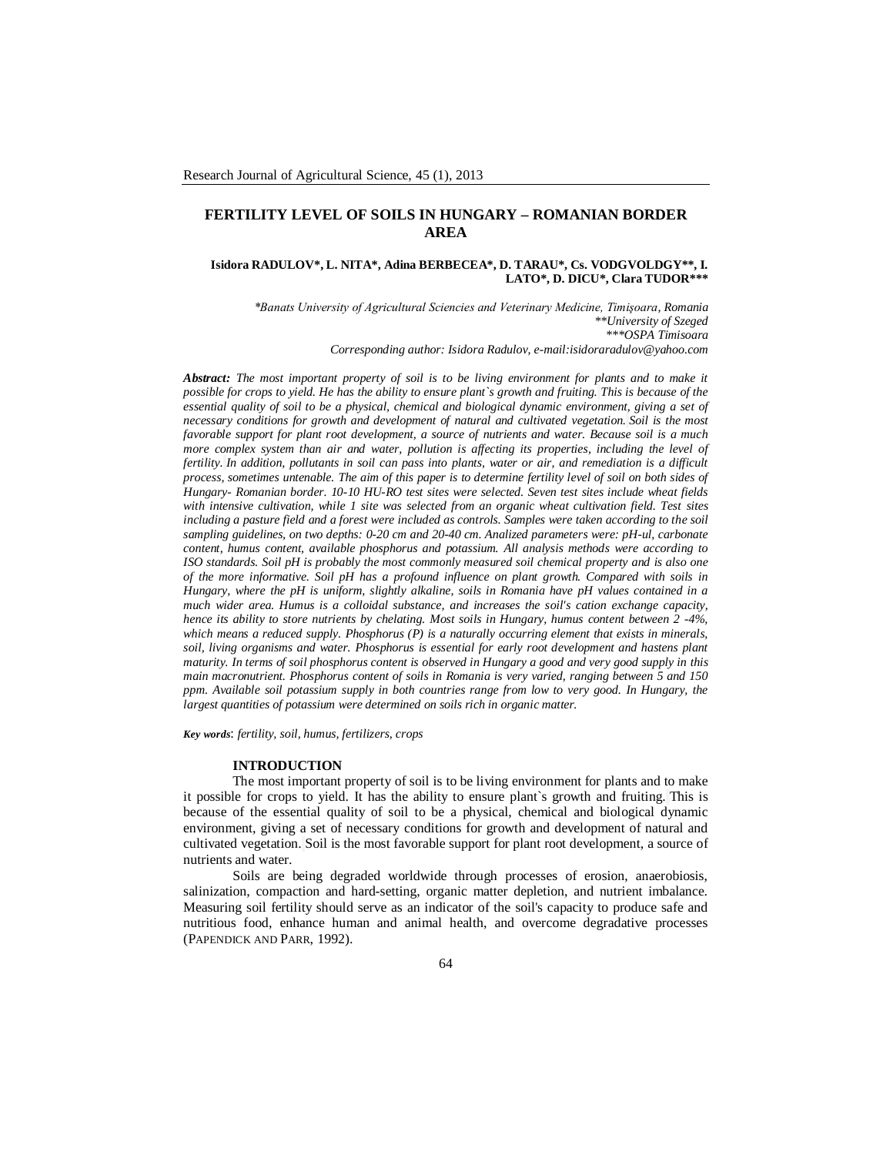# **FERTILITY LEVEL OF SOILS IN HUNGARY – ROMANIAN BORDER AREA**

### **Isidora RADULOV\*, L. NITA\*, Adina BERBECEA\*, D. TARAU\*, Cs. VODGVOLDGY\*\*, I. LATO\*, D. DICU\*, Clara TUDOR\*\*\***

*\*Banats University of Agricultural Sciencies and Veterinary Medicine, Timişoara, Romania \*\*University of Szeged \*\*\*OSPA Timisoara*

*Corresponding author: Isidora Radulov, e-mail:isidoraradulov@yahoo.com*

*Abstract: The most important property of soil is to be living environment for plants and to make it possible for crops to yield. He has the ability to ensure plant`s growth and fruiting. This is because of the essential quality of soil to be a physical, chemical and biological dynamic environment, giving a set of necessary conditions for growth and development of natural and cultivated vegetation. Soil is the most favorable support for plant root development, a source of nutrients and water. Because soil is a much more complex system than air and water, pollution is affecting its properties, including the level of fertility. In addition, pollutants in soil can pass into plants, water or air, and remediation is a difficult process, sometimes untenable. The aim of this paper is to determine fertility level of soil on both sides of Hungary- Romanian border. 10-10 HU-RO test sites were selected. Seven test sites include wheat fields with intensive cultivation, while 1 site was selected from an organic wheat cultivation field. Test sites including a pasture field and a forest were included as controls. Samples were taken according to the soil sampling guidelines, on two depths: 0-20 cm and 20-40 cm. Analized parameters were: pH-ul, carbonate content, humus content, available phosphorus and potassium. All analysis methods were according to ISO standards. Soil pH is probably the most commonly measured soil chemical property and is also one of the more informative. Soil pH has a profound influence on plant growth. Compared with soils in Hungary, where the pH is uniform, slightly alkaline, soils in Romania have pH values contained in a much wider area. Humus is a colloidal substance, and increases the soil's cation exchange capacity, hence its ability to store nutrients by chelating. Most soils in Hungary, humus content between 2 -4%, which means a reduced supply. Phosphorus (P) is a naturally occurring element that exists in minerals, soil, living organisms and water. Phosphorus is essential for early root development and hastens plant maturity. In terms of soil phosphorus content is observed in Hungary a good and very good supply in this main macronutrient. Phosphorus content of soils in Romania is very varied, ranging between 5 and 150 ppm. Available soil potassium supply in both countries range from low to very good. In Hungary, the largest quantities of potassium were determined on soils rich in organic matter.* 

*Key words*: *fertility, soil, humus, fertilizers, crops*

#### **INTRODUCTION**

The most important property of soil is to be living environment for plants and to make it possible for crops to yield. It has the ability to ensure plant`s growth and fruiting. This is because of the essential quality of soil to be a physical, chemical and biological dynamic environment, giving a set of necessary conditions for growth and development of natural and cultivated vegetation. Soil is the most favorable support for plant root development, a source of nutrients and water.

Soils are being degraded worldwide through processes of erosion, anaerobiosis, salinization, compaction and hard-setting, organic matter depletion, and nutrient imbalance. Measuring soil fertility should serve as an indicator of the soil's capacity to produce safe and nutritious food, enhance human and animal health, and overcome degradative processes (PAPENDICK AND PARR, 1992).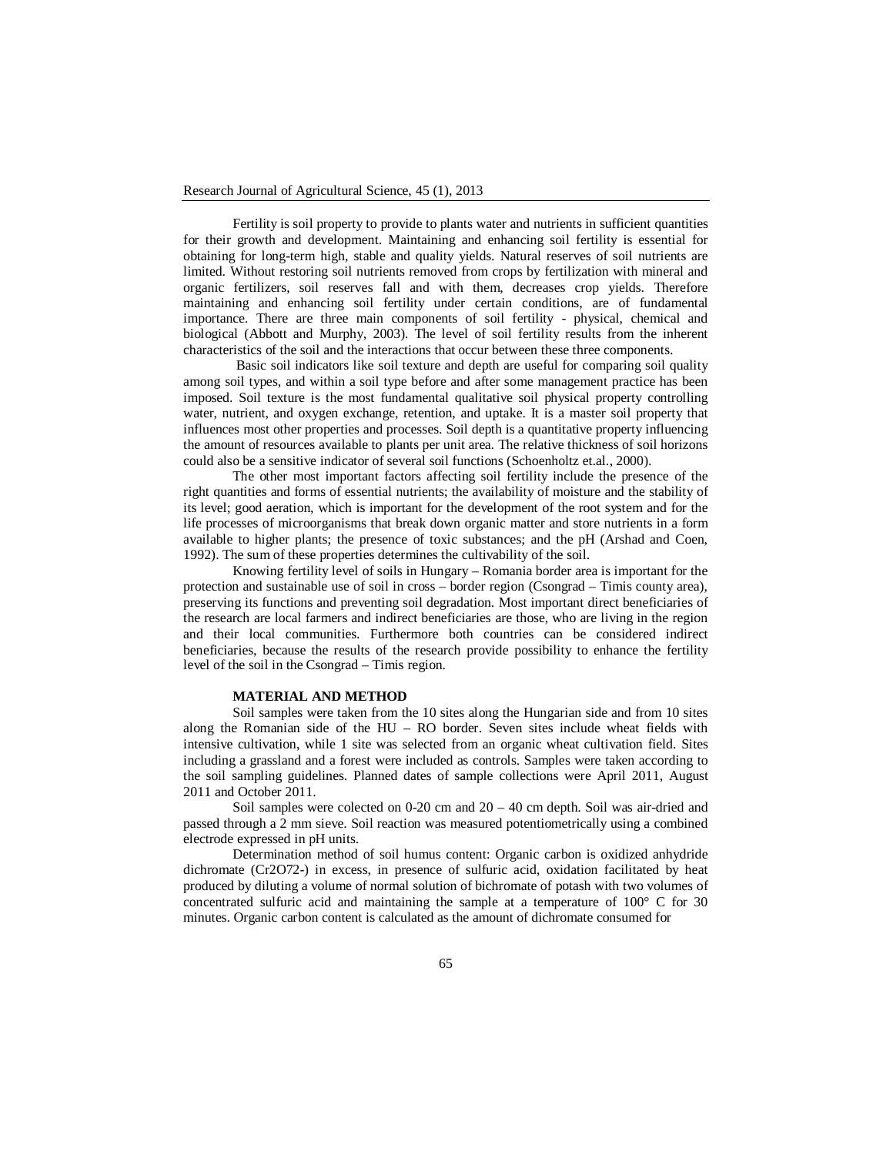Fertility is soil property to provide to plants water and nutrients in sufficient quantities for their growth and development. Maintaining and enhancing soil fertility is essential for obtaining for long-term high, stable and quality yields. Natural reserves of soil nutrients are limited. Without restoring soil nutrients removed from crops by fertilization with mineral and organic fertilizers, soil reserves fall and with them, decreases crop yields. Therefore maintaining and enhancing soil fertility under certain conditions, are of fundamental importance. There are three main components of soil fertility - physical, chemical and biological (Abbott and Murphy, 2003). The level of soil fertility results from the inherent characteristics of the soil and the interactions that occur between these three components.

Basic soil indicators like soil texture and depth are useful for comparing soil quality among soil types, and within a soil type before and after some management practice has been imposed. Soil texture is the most fundamental qualitative soil physical property controlling water, nutrient, and oxygen exchange, retention, and uptake. It is a master soil property that influences most other properties and processes. Soil depth is a quantitative property influencing the amount of resources available to plants per unit area. The relative thickness of soil horizons could also be a sensitive indicator of several soil functions (Schoenholtz et.al., 2000).

The other most important factors affecting soil fertility include the presence of the right quantities and forms of essential nutrients; the availability of moisture and the stability of its level; good aeration, which is important for the development of the root system and for the life processes of microorganisms that break down organic matter and store nutrients in a form available to higher plants; the presence of toxic substances; and the pH (Arshad and Coen, 1992). The sum of these properties determines the cultivability of the soil.

Knowing fertility level of soils in Hungary – Romania border area is important for the protection and sustainable use of soil in cross – border region (Csongrad – Timis county area), preserving its functions and preventing soil degradation. Most important direct beneficiaries of the research are local farmers and indirect beneficiaries are those, who are living in the region and their local communities. Furthermore both countries can be considered indirect beneficiaries, because the results of the research provide possibility to enhance the fertility level of the soil in the Csongrad – Timis region.

#### **MATERIAL AND METHOD**

Soil samples were taken from the 10 sites along the Hungarian side and from 10 sites along the Romanian side of the HU – RO border. Seven sites include wheat fields with intensive cultivation, while 1 site was selected from an organic wheat cultivation field. Sites including a grassland and a forest were included as controls. Samples were taken according to the soil sampling guidelines. Planned dates of sample collections were April 2011, August 2011 and October 2011.

Soil samples were colected on 0-20 cm and 20 – 40 cm depth. Soil was air-dried and passed through a 2 mm sieve. Soil reaction was measured potentiometrically using a combined electrode expressed in pH units.

Determination method of soil humus content: Organic carbon is oxidized anhydride dichromate (Cr2O72-) in excess, in presence of sulfuric acid, oxidation facilitated by heat produced by diluting a volume of normal solution of bichromate of potash with two volumes of concentrated sulfuric acid and maintaining the sample at a temperature of 100° C for 30 minutes. Organic carbon content is calculated as the amount of dichromate consumed for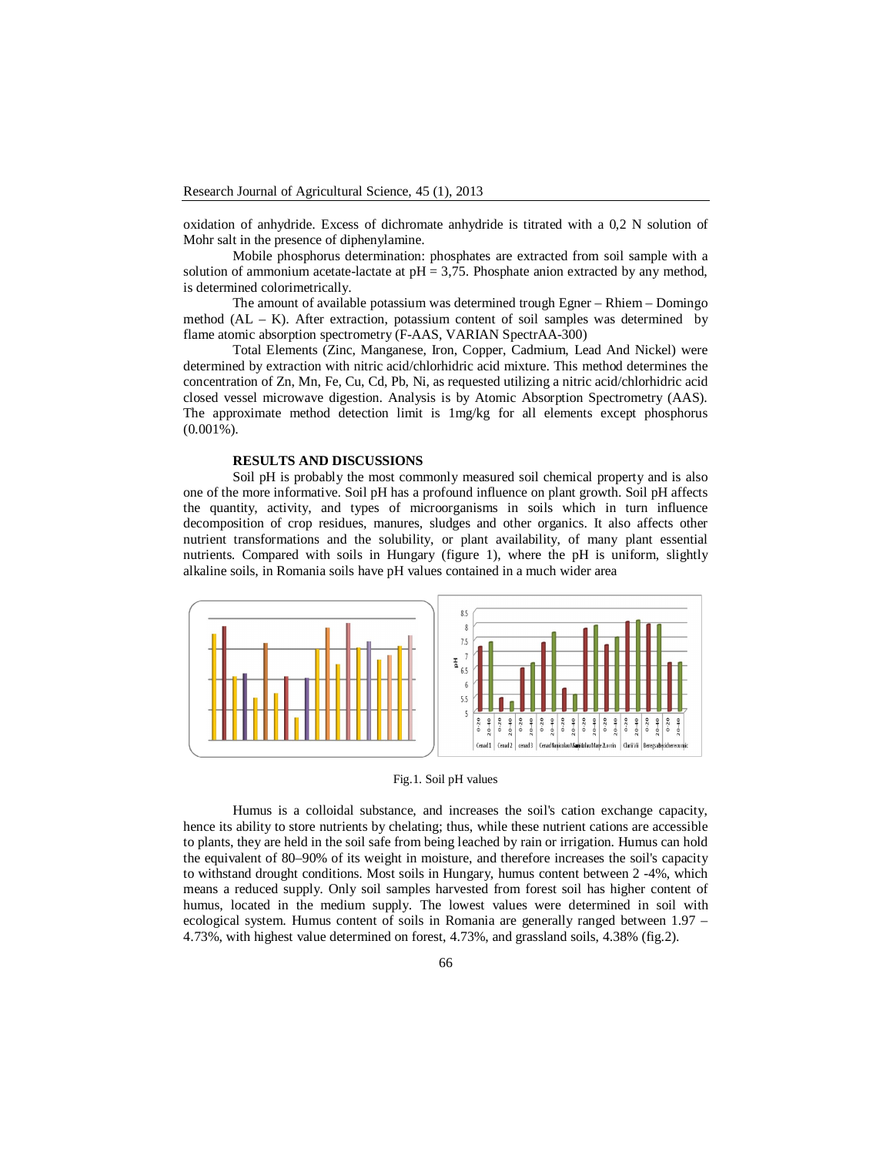oxidation of anhydride. Excess of dichromate anhydride is titrated with a 0,2 N solution of Mohr salt in the presence of diphenylamine.

Mobile phosphorus determination: phosphates are extracted from soil sample with a solution of ammonium acetate-lactate at  $pH = 3.75$ . Phosphate anion extracted by any method, is determined colorimetrically.

The amount of available potassium was determined trough Egner – Rhiem – Domingo method  $(AL - K)$ . After extraction, potassium content of soil samples was determined by flame atomic absorption spectrometry (F-AAS, VARIAN SpectrAA-300)

Total Elements (Zinc, Manganese, Iron, Copper, Cadmium, Lead And Nickel) were determined by extraction with nitric acid/chlorhidric acid mixture. This method determines the concentration of Zn, Mn, Fe, Cu, Cd, Pb, Ni, as requested utilizing a nitric acid/chlorhidric acid closed vessel microwave digestion. Analysis is by Atomic Absorption Spectrometry (AAS). The approximate method detection limit is 1mg/kg for all elements except phosphorus  $(0.001\%)$ .

#### **RESULTS AND DISCUSSIONS**

Soil pH is probably the most commonly measured soil chemical property and is also one of the more informative. Soil pH has a profound influence on plant growth. Soil pH affects the quantity, activity, and types of microorganisms in soils which in turn influence decomposition of crop residues, manures, sludges and other organics. It also affects other nutrient transformations and the solubility, or plant availability, of many plant essential nutrients. Compared with soils in Hungary (figure 1), where the pH is uniform, slightly alkaline soils, in Romania soils have pH values contained in a much wider area



Fig.1. Soil pH values

Humus is a colloidal substance, and increases the soil's cation exchange capacity, hence its ability to store nutrients by chelating; thus, while these nutrient cations are accessible to plants, they are held in the soil safe from being leached by rain or irrigation. Humus can hold the equivalent of 80–90% of its weight in moisture, and therefore increases the soil's capacity to withstand drought conditions. Most soils in Hungary, humus content between 2 -4%, which means a reduced supply. Only soil samples harvested from forest soil has higher content of humus, located in the medium supply. The lowest values were determined in soil with ecological system. Humus content of soils in Romania are generally ranged between 1.97 – 4.73%, with highest value determined on forest, 4.73%, and grassland soils, 4.38% (fig.2).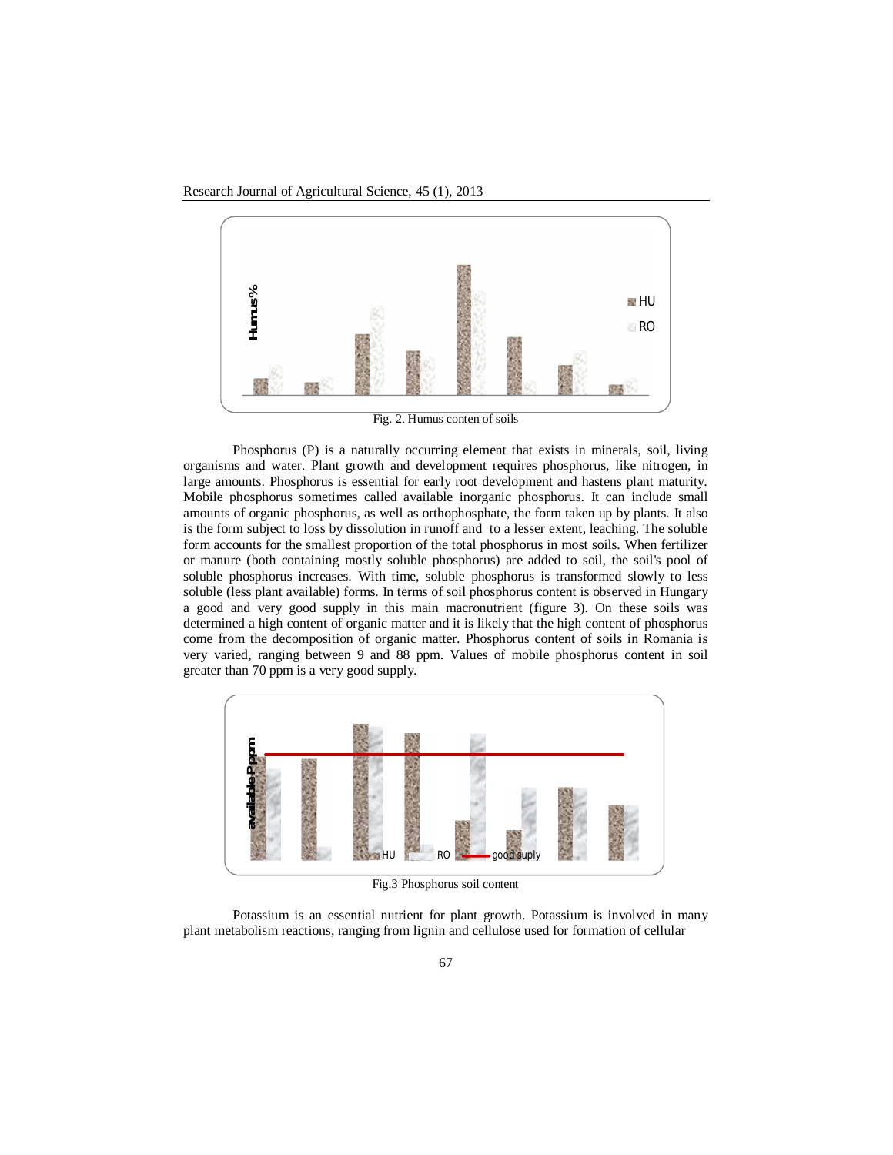Research Journal of Agricultural Science, 45 (1), 2013



Fig. 2. Humus conten of soils

Phosphorus (P) is a naturally occurring element that exists in minerals, soil, living organisms and water. Plant growth and development requires phosphorus, like nitrogen, in large amounts. Phosphorus is essential for early root development and hastens plant maturity. Mobile phosphorus sometimes called available inorganic phosphorus. It can include small amounts of organic phosphorus, as well as orthophosphate, the form taken up by plants. It also is the form subject to loss by dissolution in runoff and to a lesser extent, leaching. The soluble form accounts for the smallest proportion of the total phosphorus in most soils. When fertilizer or manure (both containing mostly soluble phosphorus) are added to soil, the soil's pool of soluble phosphorus increases. With time, soluble phosphorus is transformed slowly to less soluble (less plant available) forms. In terms of soil phosphorus content is observed in Hungary a good and very good supply in this main macronutrient (figure 3). On these soils was determined a high content of organic matter and it is likely that the high content of phosphorus come from the decomposition of organic matter. Phosphorus content of soils in Romania is very varied, ranging between 9 and 88 ppm. Values of mobile phosphorus content in soil greater than 70 ppm is a very good supply. **Example 1998**<br> **Example 1998**<br> **Example 1999**<br> **Example 1999**<br> **Example 1999**<br> **Example 1999**<br> **Example 1999**<br> **Example 1999**<br> **Example 1999**<br> **Example 1999**<br> **Example 1999**<br> **Example 1999**<br> **Example 1999**<br> **Example 1999** 



Fig.3 Phosphorus soil content

Potassium is an essential nutrient for plant growth. Potassium is involved in many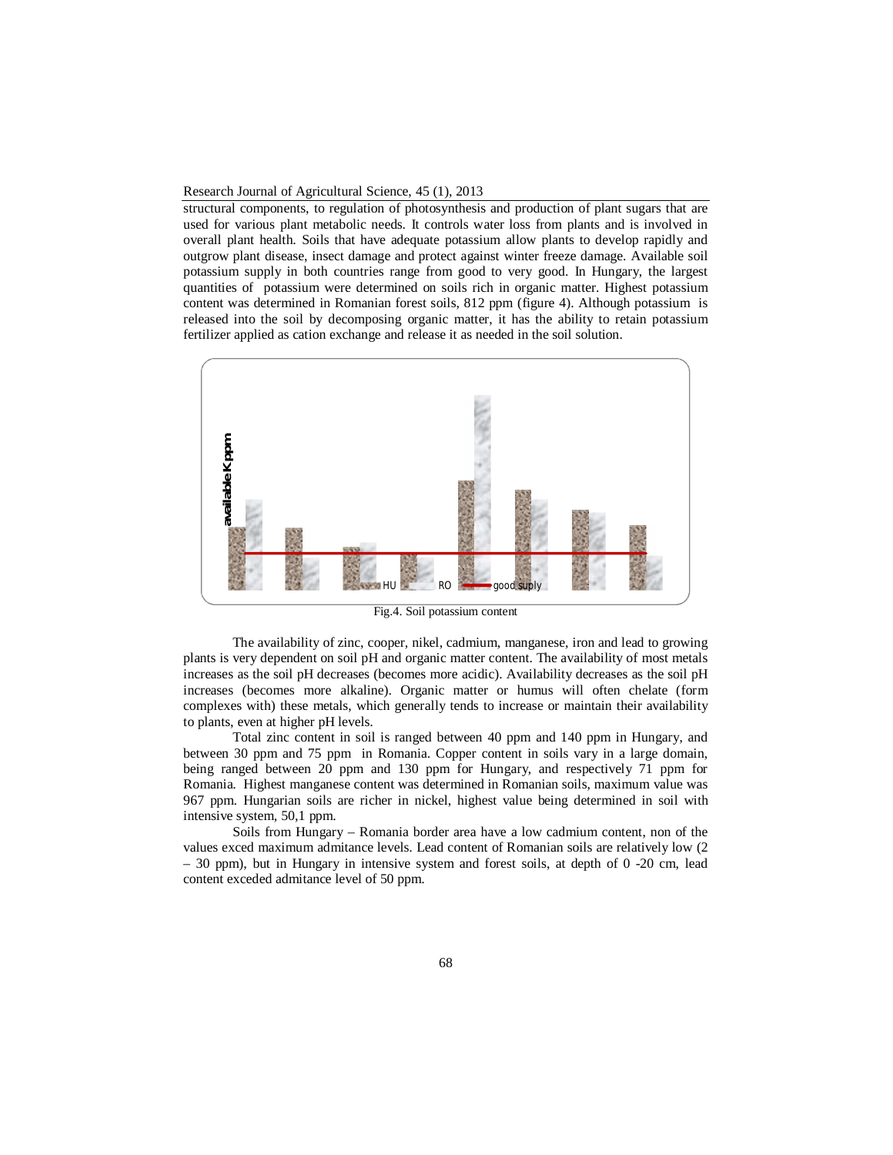#### Research Journal of Agricultural Science, 45 (1), 2013

structural components, to regulation of photosynthesis and production of plant sugars that are used for various plant metabolic needs. It controls water loss from plants and is involved in overall plant health. Soils that have adequate potassium allow plants to develop rapidly and outgrow plant disease, insect damage and protect against winter freeze damage. Available soil potassium supply in both countries range from good to very good. In Hungary, the largest quantities of potassium were determined on soils rich in organic matter. Highest potassium content was determined in Romanian forest soils, 812 ppm (figure 4). Although potassium is released into the soil by decomposing organic matter, it has the ability to retain potassium fertilizer applied as cation exchange and release it as needed in the soil solution.



Fig.4. Soil potassium content

The availability of zinc, cooper, nikel, cadmium, manganese, iron and lead to growing plants is very dependent on soil pH and organic matter content. The availability of most metals increases as the soil pH decreases (becomes more acidic). Availability decreases as the soil pH increases (becomes more alkaline). Organic matter or humus will often chelate (form complexes with) these metals, which generally tends to increase or maintain their availability to plants, even at higher pH levels.

Total zinc content in soil is ranged between 40 ppm and 140 ppm in Hungary, and between 30 ppm and 75 ppm in Romania. Copper content in soils vary in a large domain, being ranged between 20 ppm and 130 ppm for Hungary, and respectively 71 ppm for Romania. Highest manganese content was determined in Romanian soils, maximum value was 967 ppm. Hungarian soils are richer in nickel, highest value being determined in soil with intensive system, 50,1 ppm.

Soils from Hungary – Romania border area have a low cadmium content, non of the values exced maximum admitance levels. Lead content of Romanian soils are relatively low (2 – 30 ppm), but in Hungary in intensive system and forest soils, at depth of 0 -20 cm, lead